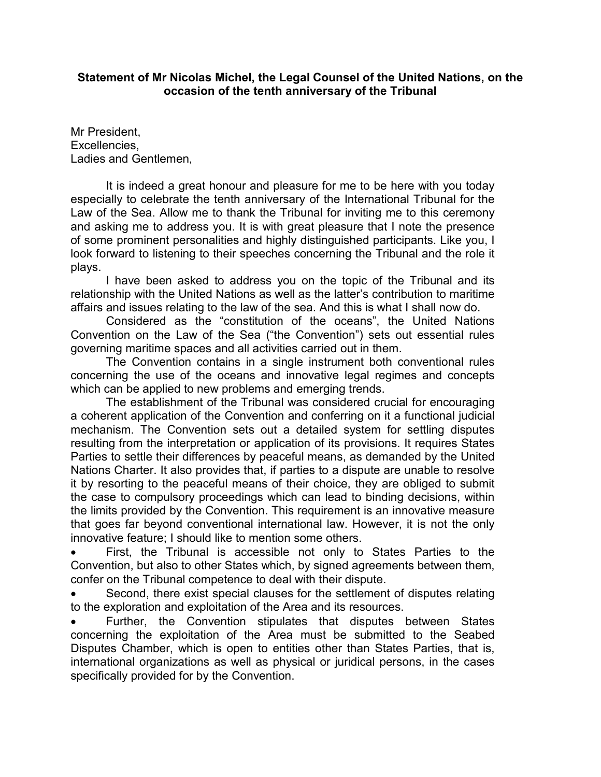## **Statement of Mr Nicolas Michel, the Legal Counsel of the United Nations, on the occasion of the tenth anniversary of the Tribunal**

Mr President, Excellencies, Ladies and Gentlemen,

It is indeed a great honour and pleasure for me to be here with you today especially to celebrate the tenth anniversary of the International Tribunal for the Law of the Sea. Allow me to thank the Tribunal for inviting me to this ceremony and asking me to address you. It is with great pleasure that I note the presence of some prominent personalities and highly distinguished participants. Like you, I look forward to listening to their speeches concerning the Tribunal and the role it plays.

I have been asked to address you on the topic of the Tribunal and its relationship with the United Nations as well as the latter's contribution to maritime affairs and issues relating to the law of the sea. And this is what I shall now do.

Considered as the "constitution of the oceans", the United Nations Convention on the Law of the Sea ("the Convention") sets out essential rules governing maritime spaces and all activities carried out in them.

The Convention contains in a single instrument both conventional rules concerning the use of the oceans and innovative legal regimes and concepts which can be applied to new problems and emerging trends.

The establishment of the Tribunal was considered crucial for encouraging a coherent application of the Convention and conferring on it a functional judicial mechanism. The Convention sets out a detailed system for settling disputes resulting from the interpretation or application of its provisions. It requires States Parties to settle their differences by peaceful means, as demanded by the United Nations Charter. It also provides that, if parties to a dispute are unable to resolve it by resorting to the peaceful means of their choice, they are obliged to submit the case to compulsory proceedings which can lead to binding decisions, within the limits provided by the Convention. This requirement is an innovative measure that goes far beyond conventional international law. However, it is not the only innovative feature; I should like to mention some others.

First, the Tribunal is accessible not only to States Parties to the Convention, but also to other States which, by signed agreements between them, confer on the Tribunal competence to deal with their dispute.

Second, there exist special clauses for the settlement of disputes relating to the exploration and exploitation of the Area and its resources.

Further, the Convention stipulates that disputes between States concerning the exploitation of the Area must be submitted to the Seabed Disputes Chamber, which is open to entities other than States Parties, that is, international organizations as well as physical or juridical persons, in the cases specifically provided for by the Convention.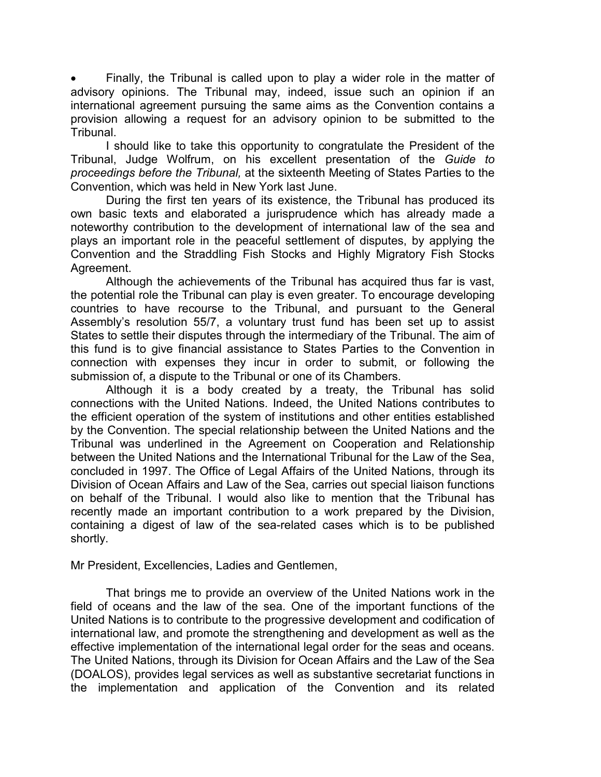Finally, the Tribunal is called upon to play a wider role in the matter of advisory opinions. The Tribunal may, indeed, issue such an opinion if an international agreement pursuing the same aims as the Convention contains a provision allowing a request for an advisory opinion to be submitted to the Tribunal.

I should like to take this opportunity to congratulate the President of the Tribunal, Judge Wolfrum, on his excellent presentation of the *Guide to proceedings before the Tribunal,* at the sixteenth Meeting of States Parties to the Convention, which was held in New York last June.

During the first ten years of its existence, the Tribunal has produced its own basic texts and elaborated a jurisprudence which has already made a noteworthy contribution to the development of international law of the sea and plays an important role in the peaceful settlement of disputes, by applying the Convention and the Straddling Fish Stocks and Highly Migratory Fish Stocks Agreement.

Although the achievements of the Tribunal has acquired thus far is vast, the potential role the Tribunal can play is even greater. To encourage developing countries to have recourse to the Tribunal, and pursuant to the General Assembly's resolution 55/7, a voluntary trust fund has been set up to assist States to settle their disputes through the intermediary of the Tribunal. The aim of this fund is to give financial assistance to States Parties to the Convention in connection with expenses they incur in order to submit, or following the submission of, a dispute to the Tribunal or one of its Chambers.

Although it is a body created by a treaty, the Tribunal has solid connections with the United Nations. Indeed, the United Nations contributes to the efficient operation of the system of institutions and other entities established by the Convention. The special relationship between the United Nations and the Tribunal was underlined in the Agreement on Cooperation and Relationship between the United Nations and the International Tribunal for the Law of the Sea, concluded in 1997. The Office of Legal Affairs of the United Nations, through its Division of Ocean Affairs and Law of the Sea, carries out special liaison functions on behalf of the Tribunal. I would also like to mention that the Tribunal has recently made an important contribution to a work prepared by the Division, containing a digest of law of the sea-related cases which is to be published shortly.

Mr President, Excellencies, Ladies and Gentlemen,

That brings me to provide an overview of the United Nations work in the field of oceans and the law of the sea. One of the important functions of the United Nations is to contribute to the progressive development and codification of international law, and promote the strengthening and development as well as the effective implementation of the international legal order for the seas and oceans. The United Nations, through its Division for Ocean Affairs and the Law of the Sea (DOALOS), provides legal services as well as substantive secretariat functions in the implementation and application of the Convention and its related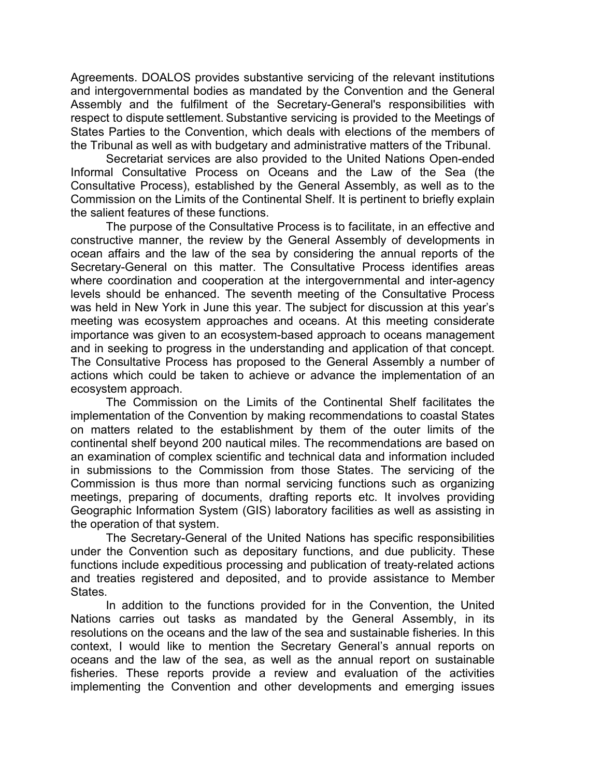Agreements. DOALOS provides substantive servicing of the relevant institutions and intergovernmental bodies as mandated by the Convention and the General Assembly and the fulfilment of the Secretary-General's responsibilities with respect to dispute settlement. Substantive servicing is provided to the Meetings of States Parties to the Convention, which deals with elections of the members of the Tribunal as well as with budgetary and administrative matters of the Tribunal.

Secretariat services are also provided to the United Nations Open-ended Informal Consultative Process on Oceans and the Law of the Sea (the Consultative Process), established by the General Assembly, as well as to the Commission on the Limits of the Continental Shelf. It is pertinent to briefly explain the salient features of these functions.

The purpose of the Consultative Process is to facilitate, in an effective and constructive manner, the review by the General Assembly of developments in ocean affairs and the law of the sea by considering the annual reports of the Secretary-General on this matter. The Consultative Process identifies areas where coordination and cooperation at the intergovernmental and inter-agency levels should be enhanced. The seventh meeting of the Consultative Process was held in New York in June this year. The subject for discussion at this year's meeting was ecosystem approaches and oceans. At this meeting considerate importance was given to an ecosystem-based approach to oceans management and in seeking to progress in the understanding and application of that concept. The Consultative Process has proposed to the General Assembly a number of actions which could be taken to achieve or advance the implementation of an ecosystem approach.

The Commission on the Limits of the Continental Shelf facilitates the implementation of the Convention by making recommendations to coastal States on matters related to the establishment by them of the outer limits of the continental shelf beyond 200 nautical miles. The recommendations are based on an examination of complex scientific and technical data and information included in submissions to the Commission from those States. The servicing of the Commission is thus more than normal servicing functions such as organizing meetings, preparing of documents, drafting reports etc. It involves providing Geographic Information System (GIS) laboratory facilities as well as assisting in the operation of that system.

The Secretary-General of the United Nations has specific responsibilities under the Convention such as depositary functions, and due publicity. These functions include expeditious processing and publication of treaty-related actions and treaties registered and deposited, and to provide assistance to Member States.

In addition to the functions provided for in the Convention, the United Nations carries out tasks as mandated by the General Assembly, in its resolutions on the oceans and the law of the sea and sustainable fisheries. In this context, I would like to mention the Secretary General's annual reports on oceans and the law of the sea, as well as the annual report on sustainable fisheries. These reports provide a review and evaluation of the activities implementing the Convention and other developments and emerging issues